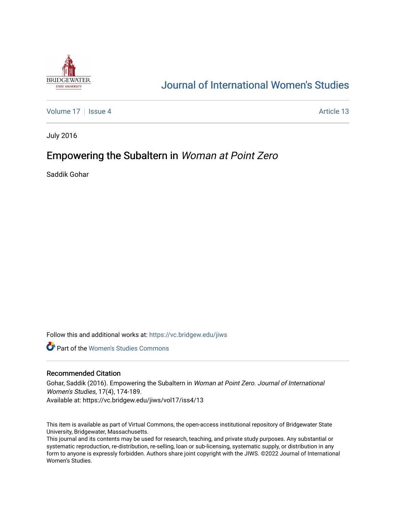

# [Journal of International Women's Studies](https://vc.bridgew.edu/jiws)

[Volume 17](https://vc.bridgew.edu/jiws/vol17) | [Issue 4](https://vc.bridgew.edu/jiws/vol17/iss4) Article 13

July 2016

## Empowering the Subaltern in Woman at Point Zero

Saddik Gohar

Follow this and additional works at: [https://vc.bridgew.edu/jiws](https://vc.bridgew.edu/jiws?utm_source=vc.bridgew.edu%2Fjiws%2Fvol17%2Fiss4%2F13&utm_medium=PDF&utm_campaign=PDFCoverPages)

**C** Part of the Women's Studies Commons

#### Recommended Citation

Gohar, Saddik (2016). Empowering the Subaltern in Woman at Point Zero. Journal of International Women's Studies, 17(4), 174-189. Available at: https://vc.bridgew.edu/jiws/vol17/iss4/13

This item is available as part of Virtual Commons, the open-access institutional repository of Bridgewater State University, Bridgewater, Massachusetts.

This journal and its contents may be used for research, teaching, and private study purposes. Any substantial or systematic reproduction, re-distribution, re-selling, loan or sub-licensing, systematic supply, or distribution in any form to anyone is expressly forbidden. Authors share joint copyright with the JIWS. ©2022 Journal of International Women's Studies.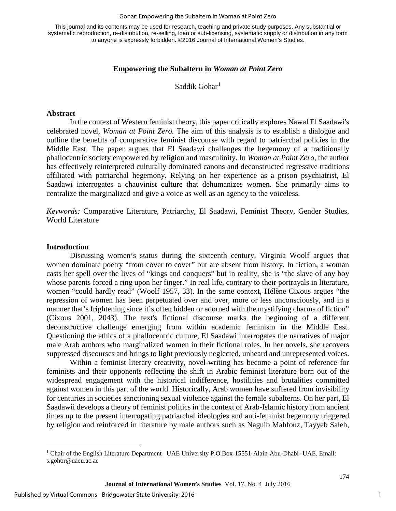#### Gohar: Empowering the Subaltern in Woman at Point Zero

This journal and its contents may be used for research, teaching and private study purposes. Any substantial or systematic reproduction, re-distribution, re-selling, loan or sub-licensing, systematic supply or distribution in any form to anyone is expressly forbidden. ©2016 Journal of International Women's Studies.

#### **Empowering the Subaltern in** *Woman at Point Zero*

Saddik Gohar<sup>[1](#page-1-0)</sup>

#### **Abstract**

In the context of Western feminist theory, this paper critically explores Nawal El Saadawi's celebrated novel, *Woman at Point Zero.* The aim of this analysis is to establish a dialogue and outline the benefits of comparative feminist discourse with regard to patriarchal policies in the Middle East. The paper argues that El Saadawi challenges the hegemony of a traditionally phallocentric society empowered by religion and masculinity. In *Woman at Point Zero*, the author has effectively reinterpreted culturally dominated canons and deconstructed regressive traditions affiliated with patriarchal hegemony. Relying on her experience as a prison psychiatrist, El Saadawi interrogates a chauvinist culture that dehumanizes women. She primarily aims to centralize the marginalized and give a voice as well as an agency to the voiceless.

*Keywords:* Comparative Literature, Patriarchy, El Saadawi, Feminist Theory, Gender Studies, World Literature

#### **Introduction**

l

Discussing women's status during the sixteenth century, Virginia Woolf argues that women dominate poetry "from cover to cover" but are absent from history. In fiction, a woman casts her spell over the lives of "kings and conquers" but in reality, she is "the slave of any boy whose parents forced a ring upon her finger." In real life, contrary to their portrayals in literature, women "could hardly read" (Woolf 1957, 33). In the same context, Hélène Cixous argues "the repression of women has been perpetuated over and over, more or less unconsciously, and in a manner that's frightening since it's often hidden or adorned with the mystifying charms of fiction" (Cixous 2001, 2043). The text's fictional discourse marks the beginning of a different deconstructive challenge emerging from within academic feminism in the Middle East. Questioning the ethics of a phallocentric culture, El Saadawi interrogates the narratives of major male Arab authors who marginalized women in their fictional roles. In her novels, she recovers suppressed discourses and brings to light previously neglected, unheard and unrepresented voices.

Within a feminist literary creativity, novel-writing has become a point of reference for feminists and their opponents reflecting the shift in Arabic feminist literature born out of the widespread engagement with the historical indifference, hostilities and brutalities committed against women in this part of the world. Historically, Arab women have suffered from invisibility for centuries in societies sanctioning sexual violence against the female subalterns. On her part, El Saadawii develops a theory of feminist politics in the context of Arab-Islamic history from ancient times up to the present interrogating patriarchal ideologies and anti-feminist hegemony triggered by religion and reinforced in literature by male authors such as Naguib Mahfouz, Tayyeb Saleh,

1

<span id="page-1-0"></span><sup>1</sup> Chair of the English Literature Department –UAE University P.O.Box-15551-Alain-Abu-Dhabi- UAE. Email: s.gohor@uaeu.ac.ae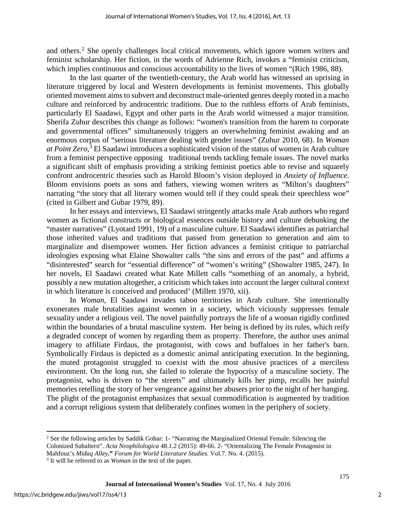and others.<sup>[2](#page-2-0)</sup> She openly challenges local critical movements, which ignore women writers and feminist scholarship. Her fiction, in the words of Adrienne Rich, invokes a "feminist criticism, which implies continuous and conscious accountability to the lives of women "(Rich 1986, 88).

In the last quarter of the twentieth-century, the Arab world has witnessed an uprising in literature triggered by local and Western developments in feminist movements. This globally oriented movement aims to subvert and deconstruct male-oriented genres deeply rooted in a macho culture and reinforced by androcentric traditions. Due to the ruthless efforts of Arab feminists, particularly El Saadawi, Egypt and other parts in the Arab world witnessed a major transition. Sherifa Zuhur describes this change as follows: "women's transition from the harem to corporate and governmental offices" simultaneously triggers an overwhelming feminist awaking and an enormous corpus of "serious literature dealing with gender issues" (Zuhur 2010, 68). In *Woman at Point Zero*, [3](#page-2-1) El Saadawi introduces a sophisticated vision of the status of women in Arab culture from a feminist perspective opposing traditional trends tackling female issues. The novel marks a significant shift of emphasis providing a striking feminist poetics able to revise and squarely confront androcentric theories such as Harold Bloom's vision deployed in *Anxiety of Influence*. Bloom envisions poets as sons and fathers, viewing women writers as "Milton's daughters" narrating "the story that all literary women would tell if they could speak their speechless woe" (cited in Gilbert and Gubar 1979, 89).

In her essays and interviews, El Saadawi stringently attacks male Arab authors who regard women as fictional constructs or biological essences outside history and culture debunking the "master narratives" (Lyotard 1991, 19) of a masculine culture. El Saadawi identifies as patriarchal those inherited values and traditions that passed from generation to generation and aim to marginalize and disempower women. Her fiction advances a feminist critique to patriarchal ideologies exposing what Elaine Showalter calls "the sins and errors of the past" and affirms a "disinterested" search for "essential difference" of "women's writing" (Showalter 1985, 247). In her novels, El Saadawi created what Kate Millett calls "something of an anomaly, a hybrid, possibly a new mutation altogether, a criticism which takes into account the larger cultural context in which literature is conceived and produced' (Millett 1970, xii).

In *Woman*, El Saadawi invades taboo territories in Arab culture. She intentionally exonerates male brutalities against women in a society, which viciously suppresses female sexuality under a religious veil. The novel painfully portrays the life of a woman rigidly confined within the boundaries of a brutal masculine system. Her being is defined by its rules, which reify a degraded concept of women by regarding them as property. Therefore, the author uses animal imagery to affiliate Firdaus, the protagonist, with cows and buffaloes in her father's barn. Symbolically Firdaus is depicted as a domestic animal anticipating execution. In the beginning, the muted protagonist struggled to coexist with the most abusive practices of a merciless environment. On the long run, she failed to tolerate the hypocrisy of a masculine society. The protagonist, who is driven to "the streets" and ultimately kills her pimp, recalls her painful memories retelling the story of her vengeance against her abusers prior to the night of her hanging. The plight of the protagonist emphasizes that sexual commodification is augmented by tradition and a corrupt religious system that deliberately confines women in the periphery of society.

l

<span id="page-2-0"></span><sup>&</sup>lt;sup>2</sup> See the following articles by Saddik Gohar: 1- "Narrating the Marginalized Oriental Female: Silencing the Colonized Subaltern". *Acta Neophilologica* 48.1.2 (2015): 49-66. 2- "Orientalizing The Female Protagonist in Mahfouz's *Midaq Alley***."** *Forum for World Literature Studies.* Vol.7. No. 4. (2015).

<span id="page-2-1"></span><sup>3</sup> It will be referred to as *Woman* in the text of the paper.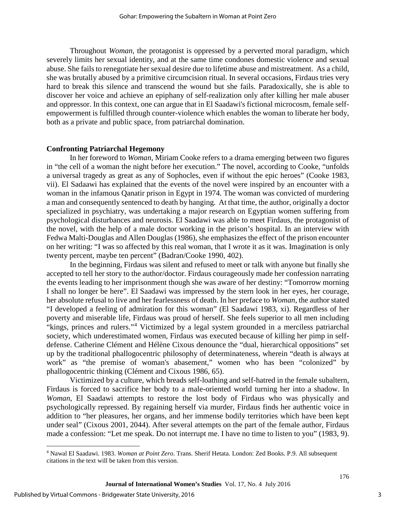Throughout *Woman*, the protagonist is oppressed by a perverted moral paradigm, which severely limits her sexual identity, and at the same time condones domestic violence and sexual abuse. She fails to renegotiate her sexual desire due to lifetime abuse and mistreatment. As a child, she was brutally abused by a primitive circumcision ritual. In several occasions, Firdaus tries very hard to break this silence and transcend the wound but she fails. Paradoxically, she is able to discover her voice and achieve an epiphany of self-realization only after killing her male abuser and oppressor. In this context, one can argue that in El Saadawi's fictional microcosm, female selfempowerment is fulfilled through counter-violence which enables the woman to liberate her body, both as a private and public space, from patriarchal domination.

#### **Confronting Patriarchal Hegemony**

In her foreword to *Woman*, Miriam Cooke refers to a drama emerging between two figures in "the cell of a woman the night before her execution." The novel, according to Cooke, "unfolds a universal tragedy as great as any of Sophocles, even if without the epic heroes" (Cooke 1983, vii). El Sadaawi has explained that the events of the novel were inspired by an encounter with a woman in the infamous Qanatir prison in Egypt in 1974. The woman was convicted of murdering a man and consequently sentenced to death by hanging. At that time, the author, originally a doctor specialized in psychiatry, was undertaking a major research on Egyptian women suffering from psychological disturbances and neurosis. El Saadawi was able to meet Firdaus, the protagonist of the novel, with the help of a male doctor working in the prison's hospital. In an interview with Fedwa Malti-Douglas and Allen Douglas (1986), she emphasizes the effect of the prison encounter on her writing: "I was so affected by this real woman, that I wrote it as it was. Imagination is only twenty percent, maybe ten percent" (Badran/Cooke 1990, 402).

In the beginning, Firdaus was silent and refused to meet or talk with anyone but finally she accepted to tell her story to the author/doctor. Firdaus courageously made her confession narrating the events leading to her imprisonment though she was aware of her destiny: "Tomorrow morning I shall no longer be here". El Saadawi was impressed by the stern look in her eyes, her courage, her absolute refusal to live and her fearlessness of death. In her preface to *Woman*, the author stated "I developed a feeling of admiration for this woman" (El Saadawi 1983, xi). Regardless of her poverty and miserable life, Firdaus was proud of herself. She feels superior to all men including "kings, princes and rulers."[4](#page-3-0) Victimized by a legal system grounded in a merciless patriarchal society, which underestimated women, Firdaus was executed because of killing her pimp in selfdefense. [Catherine Clément](http://en.wikipedia.org/wiki/Catherine_Cl%C3%A9ment) and [Hélène Cixous](http://en.wikipedia.org/wiki/H%C3%A9l%C3%A8ne_Cixous) denounce the "dual, hierarchical oppositions" set up by the traditional phallogocentric philosophy of determinateness, wherein "death is always at work" as "the premise of woman's abasement," women who has been "colonized" by phallogocentric thinking (Clément and Cixous 1986, 65).

Victimized by a culture, which breads self-loathing and self-hatred in the female subaltern, Firdaus is forced to sacrifice her body to a male-oriented world turning her into a shadow. In *Woman*, El Saadawi attempts to restore the lost body of Firdaus who was physically and psychologically repressed. By regaining herself via murder, Firdaus finds her authentic voice in addition to "her pleasures, her organs, and her immense bodily territories which have been kept under seal" (Cixous 2001, 2044). After several attempts on the part of the female author, Firdaus made a confession: "Let me speak. Do not interrupt me. I have no time to listen to you" (1983, 9).

l

<span id="page-3-0"></span><sup>4</sup> Nawal El Saadawi. 1983. *Woman at Point Zero*. Trans. Sherif Hetata. London: Zed Books. P.9. All subsequent citations in the text will be taken from this version.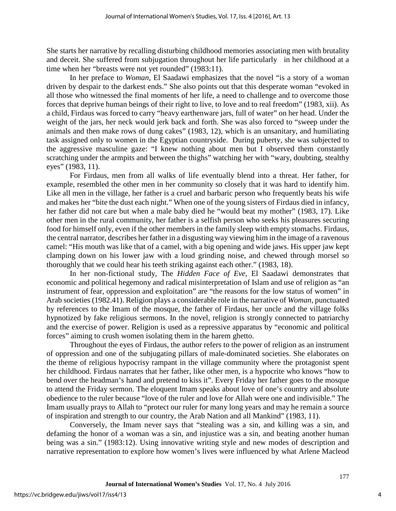She starts her narrative by recalling disturbing childhood memories associating men with brutality and deceit. She suffered from subjugation throughout her life particularly in her childhood at a time when her "breasts were not yet rounded" (1983:11).

In her preface to *Woman*, El Saadawi emphasizes that the novel "is a story of a woman driven by despair to the darkest ends." She also points out that this desperate woman "evoked in all those who witnessed the final moments of her life, a need to challenge and to overcome those forces that deprive human beings of their right to live, to love and to real freedom" (1983, xii). As a child, Firdaus was forced to carry "heavy earthenware jars, full of water" on her head. Under the weight of the jars, her neck would jerk back and forth. She was also forced to "sweep under the animals and then make rows of dung cakes" (1983, 12), which is an unsanitary, and humiliating task assigned only to women in the Egyptian countryside. During puberty, she was subjected to the aggressive masculine gaze: "I knew nothing about men but I observed them constantly scratching under the armpits and between the thighs" watching her with "wary, doubting, stealthy eyes" (1983, 11).

For Firdaus, men from all walks of life eventually blend into a threat. Her father, for example, resembled the other men in her community so closely that it was hard to identify him. Like all men in the village, her father is a cruel and barbaric person who frequently beats his wife and makes her "bite the dust each night." When one of the young sisters of Firdaus died in infancy, her father did not care but when a male baby died he "would beat my mother" (1983, 17). Like other men in the rural community, her father is a selfish person who seeks his pleasures securing food for himself only, even if the other members in the family sleep with empty stomachs. Firdaus, the central narrator, describes her father in a disgusting way viewing him in the image of a ravenous camel: "His mouth was like that of a camel, with a big opening and wide jaws. His upper jaw kept clamping down on his lower jaw with a loud grinding noise, and chewed through morsel so thoroughly that we could hear his teeth striking against each other." (1983, 18).

In her non-fictional study, The *Hidden Face of Eve*, El Saadawi demonstrates that economic and political hegemony and radical misinterpretation of Islam and use of religion as "an instrument of fear, oppression and exploitation" are "the reasons for the low status of women" in Arab societies (1982.41). Religion plays a considerable role in the narrative of *Woman,* punctuated by references to the Imam of the mosque, the father of Firdaus, her uncle and the village folks hypnotized by fake religious sermons. In the novel, religion is strongly connected to patriarchy and the exercise of power. Religion is used as a repressive apparatus by "economic and political forces" aiming to crush women isolating them in the harem ghetto.

Throughout the eyes of Firdaus, the author refers to the power of religion as an instrument of oppression and one of the subjugating pillars of male-dominated societies. She elaborates on the theme of religious hypocrisy rampant in the village community where the protagonist spent her childhood. Firdaus narrates that her father, like other men, is a hypocrite who knows "how to bend over the headman's hand and pretend to kiss it". Every Friday her father goes to the mosque to attend the Friday sermon. The eloquent Imam speaks about love of one's country and absolute obedience to the ruler because "love of the ruler and love for Allah were one and indivisible." The Imam usually prays to Allah to "protect our ruler for many long years and may he remain a source of inspiration and strength to our country, the Arab Nation and all Mankind" (1983, 11).

 Conversely, the Imam never says that "stealing was a sin, and killing was a sin, and defaming the honor of a woman was a sin, and injustice was a sin, and beating another human being was a sin." (1983:12). Using innovative writing style and new modes of description and narrative representation to explore how women's lives were influenced by what Arlene Macleod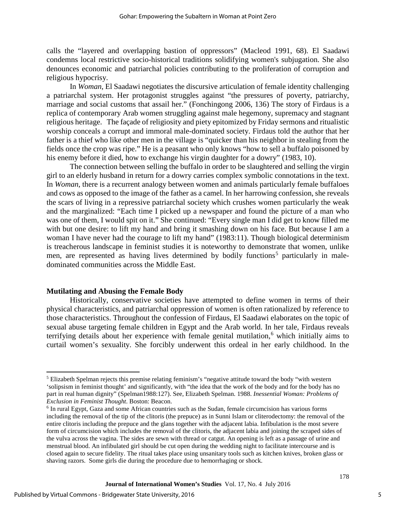calls the "layered and overlapping bastion of oppressors" (Macleod 1991, 68). El Saadawi condemns local restrictive socio-historical traditions solidifying women's subjugation. She also denounces economic and patriarchal policies contributing to the proliferation of corruption and religious hypocrisy.

In *Woman*, El Saadawi negotiates the discursive articulation of female identity challenging a patriarchal system. Her protagonist struggles against "the pressures of poverty, patriarchy, marriage and social customs that assail her." (Fonchingong 2006, 136) The story of Firdaus is a replica of contemporary Arab women struggling against male hegemony, supremacy and stagnant religious heritage. The façade of religiosity and piety epitomized by Friday sermons and ritualistic worship conceals a corrupt and immoral male-dominated society. Firdaus told the author that her father is a thief who like other men in the village is "quicker than his neighbor in stealing from the fields once the crop was ripe." He is a peasant who only knows "how to sell a buffalo poisoned by his enemy before it died, how to exchange his virgin daughter for a dowry" (1983, 10).

The connection between selling the buffalo in order to be slaughtered and selling the virgin girl to an elderly husband in return for a dowry carries complex symbolic connotations in the text. In *Woman*, there is a recurrent analogy between women and animals particularly female buffaloes and cows as opposed to the image of the father as a camel. In her harrowing confession, she reveals the scars of living in a repressive patriarchal society which crushes women particularly the weak and the marginalized: "Each time I picked up a newspaper and found the picture of a man who was one of them, I would spit on it." She continued: "Every single man I did get to know filled me with but one desire: to lift my hand and bring it smashing down on his face. But because I am a woman I have never had the courage to lift my hand" (1983:11). Though biological determinism is treacherous landscape in feminist studies it is noteworthy to demonstrate that women, unlike men, are represented as having lives determined by bodily functions<sup>[5](#page-5-0)</sup> particularly in maledominated communities across the Middle East.

#### **Mutilating and Abusing the Female Body**

Historically, conservative societies have attempted to define women in terms of their physical characteristics, and patriarchal oppression of women is often rationalized by reference to those characteristics. Throughout the confession of Firdaus, El Saadawi elaborates on the topic of sexual abuse targeting female children in Egypt and the Arab world. In her tale, Firdaus reveals terrifying details about her experience with female genital mutilation, [6](#page-5-1) which initially aims to curtail women's sexuality. She forcibly underwent this ordeal in her early childhood. In the

 $\overline{\phantom{a}}$ 

<span id="page-5-0"></span><sup>5</sup> Elizabeth Spelman rejects this premise relating feminism's "negative attitude toward the body "with western 'solipsism in feminist thought' and significantly, with "the idea that the work of the body and for the body has no part in real human dignity" (Spelman1988:127). See, Elizabeth Spelman. 1988. *Inessential Woman: Problems of Exclusion in Feminist Thought*. Boston: Beacon.

<span id="page-5-1"></span><sup>6</sup> In rural Egypt, Gaza and some African countries such as the Sudan, female circumcision has various forms including the removal of the tip of the clitoris (the prepuce) as in Sunni Islam or cliterodectomy: the removal of the entire clitoris including the prepuce and the glans together with the adjacent labia. Infibulation is the most severe form of circumcision which includes the removal of the clitoris, the adjacent labia and joining the scraped sides of the vulva across the vagina. The sides are sewn with thread or catgut. An opening is left as a passage of urine and menstrual blood. An infibulated girl should be cut open during the wedding night to facilitate intercourse and is closed again to secure fidelity. The ritual takes place using unsanitary tools such as kitchen knives, broken glass or shaving razors. Some girls die during the procedure due to hemorrhaging or shock.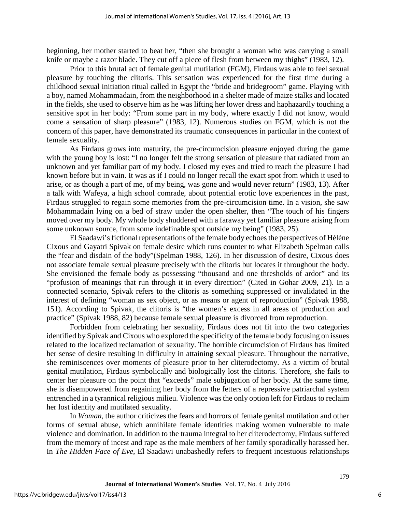beginning, her mother started to beat her, "then she brought a woman who was carrying a small knife or maybe a razor blade. They cut off a piece of flesh from between my thighs" (1983, 12).

Prior to this brutal act of female genital mutilation (FGM), Firdaus was able to feel sexual pleasure by touching the clitoris. This sensation was experienced for the first time during a childhood sexual initiation ritual called in Egypt the "bride and bridegroom" game. Playing with a boy, named Mohammadain, from the neighborhood in a shelter made of maize stalks and located in the fields, she used to observe him as he was lifting her lower dress and haphazardly touching a sensitive spot in her body: "From some part in my body, where exactly I did not know, would come a sensation of sharp pleasure" (1983, 12). Numerous studies on FGM, which is not the concern of this paper, have demonstrated its traumatic consequences in particular in the context of female sexuality.

As Firdaus grows into maturity, the pre-circumcision pleasure enjoyed during the game with the young boy is lost: "I no longer felt the strong sensation of pleasure that radiated from an unknown and yet familiar part of my body. I closed my eyes and tried to reach the pleasure I had known before but in vain. It was as if I could no longer recall the exact spot from which it used to arise, or as though a part of me, of my being, was gone and would never return" (1983, 13). After a talk with Wafeya, a high school comrade, about potential erotic love experiences in the past, Firdaus struggled to regain some memories from the pre-circumcision time. In a vision, she saw Mohammadain lying on a bed of straw under the open shelter, then "The touch of his fingers moved over my body. My whole body shuddered with a faraway yet familiar pleasure arising from some unknown source, from some indefinable spot outside my being" (1983, 25).

El Saadawi's fictional representations of the female body echoes the perspectives of Hélène Cixous and Gayatri Spivak on female desire which runs counter to what Elizabeth Spelman calls the "fear and disdain of the body"(Spelman 1988, 126). In her discussion of desire, Cixous does not associate female sexual pleasure precisely with the clitoris but locates it throughout the body. She envisioned the female body as possessing "thousand and one thresholds of ardor" and its "profusion of meanings that run through it in every direction" (Cited in Gohar 2009, 21). In a connected scenario, Spivak refers to the clitoris as something suppressed or invalidated in the interest of defining "woman as sex object, or as means or agent of reproduction" (Spivak 1988, 151). According to Spivak, the clitoris is "the women's excess in all areas of production and practice" (Spivak 1988, 82) because female sexual pleasure is divorced from reproduction.

Forbidden from celebrating her sexuality, Firdaus does not fit into the two categories identified by Spivak and Cixous who explored the specificity of the female body focusing on issues related to the localized reclamation of sexuality. The horrible circumcision of Firdaus has limited her sense of desire resulting in difficulty in attaining sexual pleasure. Throughout the narrative, she reminiscences over moments of pleasure prior to her cliterodectomy. As a victim of brutal genital mutilation, Firdaus symbolically and biologically lost the clitoris. Therefore, she fails to center her pleasure on the point that "exceeds" male subjugation of her body. At the same time, she is disempowered from regaining her body from the fetters of a repressive patriarchal system entrenched in a tyrannical religious milieu. Violence was the only option left for Firdaus to reclaim her lost identity and mutilated sexuality.

In *Woman*, the author criticizes the fears and horrors of female genital mutilation and other forms of sexual abuse, which annihilate female identities making women vulnerable to male violence and domination. In addition to the trauma integral to her cliterodectomy, Firdaus suffered from the memory of incest and rape as the male members of her family sporadically harassed her. In *The Hidden Face of Eve*, El Saadawi unabashedly refers to frequent incestuous relationships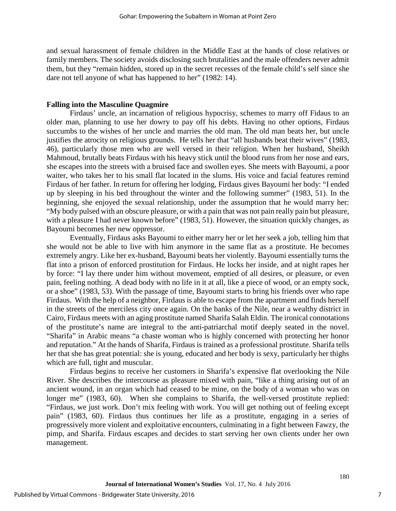and sexual harassment of female children in the Middle East at the hands of close relatives or family members. The society avoids disclosing such brutalities and the male offenders never admit them, but they "remain hidden, stored up in the secret recesses of the female child's self since she dare not tell anyone of what has happened to her" (1982: 14).

#### **Falling into the Masculine Quagmire**

Firdaus' uncle, an incarnation of religious hypocrisy, schemes to marry off Fidaus to an older man, planning to use her dowry to pay off his debts. Having no other options, Firdaus succumbs to the wishes of her uncle and marries the old man. The old man beats her, but uncle justifies the atrocity on religious grounds. He tells her that "all husbands beat their wives" (1983, 46), particularly those men who are well versed in their religion. When her husband, Sheikh Mahmoud, brutally beats Firdaus with his heavy stick until the blood runs from her nose and ears, she escapes into the streets with a bruised face and swollen eyes. She meets with Bayoumi, a poor waiter, who takes her to his small flat located in the slums. His voice and facial features remind Firdaus of her father. In return for offering her lodging, Firdaus gives Bayoumi her body: "I ended up by sleeping in his bed throughout the winter and the following summer" (1983, 51). In the beginning, she enjoyed the sexual relationship, under the assumption that he would marry her: "My body pulsed with an obscure pleasure, or with a pain that was not pain really pain but pleasure, with a pleasure I had never known before" (1983, 51). However, the situation quickly changes, as Bayoumi becomes her new oppressor.

 Eventually, Firdaus asks Bayoumi to either marry her or let her seek a job, telling him that she would not be able to live with him anymore in the same flat as a prostitute. He becomes extremely angry. Like her ex-husband, Bayoumi beats her violently. Bayoumi essentially turns the flat into a prison of enforced prostitution for Firdaus. He locks her inside, and at night rapes her by force: "I lay there under him without movement, emptied of all desires, or pleasure, or even pain, feeling nothing. A dead body with no life in it at all, like a piece of wood, or an empty sock, or a shoe" (1983, 53). With the passage of time, Bayoumi starts to bring his friends over who rape Firdaus. With the help of a neighbor, Firdaus is able to escape from the apartment and finds herself in the streets of the merciless city once again. On the banks of the Nile, near a wealthy district in Cairo, Firdaus meets with an aging prostitute named Sharifa Salah Eldin. The ironical connotations of the prostitute's name are integral to the anti-patriarchal motif deeply seated in the novel. "Sharifa" in Arabic means "a chaste woman who is highly concerned with protecting her honor and reputation." At the hands of Sharifa, Firdaus is trained as a professional prostitute. Sharifa tells her that she has great potential: she is young, educated and her body is sexy, particularly her thighs which are full, tight and muscular.

Firdaus begins to receive her customers in Sharifa's expensive flat overlooking the Nile River. She describes the intercourse as pleasure mixed with pain, "like a thing arising out of an ancient wound, in an organ which had ceased to be mine, on the body of a woman who was on longer me" (1983, 60). When she complains to Sharifa, the well-versed prostitute replied: "Firdaus, we just work. Don't mix feeling with work. You will get nothing out of feeling except pain" (1983, 60). Firdaus thus continues her life as a prostitute, engaging in a series of progressively more violent and exploitative encounters, culminating in a fight between Fawzy, the pimp, and Sharifa. Firdaus escapes and decides to start serving her own clients under her own management.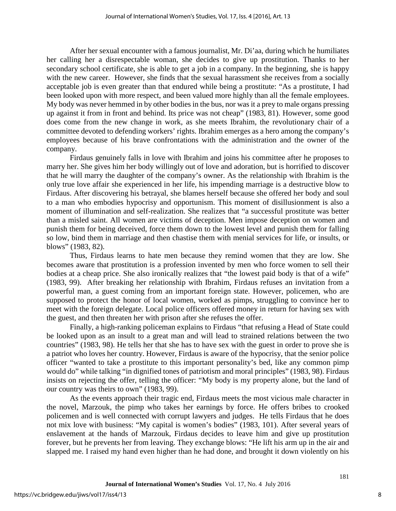After her sexual encounter with a famous journalist, Mr. Di'aa, during which he humiliates her calling her a disrespectable woman, she decides to give up prostitution. Thanks to her secondary school certificate, she is able to get a job in a company. In the beginning, she is happy with the new career. However, she finds that the sexual harassment she receives from a socially acceptable job is even greater than that endured while being a prostitute: "As a prostitute, I had been looked upon with more respect, and been valued more highly than all the female employees. My body was never hemmed in by other bodies in the bus, nor was it a prey to male organs pressing up against it from in front and behind. Its price was not cheap" (1983, 81). However, some good does come from the new change in work, as she meets Ibrahim, the revolutionary chair of a committee devoted to defending workers' rights. Ibrahim emerges as a hero among the company's employees because of his brave confrontations with the administration and the owner of the company.

Firdaus genuinely falls in love with Ibrahim and joins his committee after he proposes to marry her. She gives him her body willingly out of love and adoration, but is horrified to discover that he will marry the daughter of the company's owner. As the relationship with Ibrahim is the only true love affair she experienced in her life, his impending marriage is a destructive blow to Firdaus. After discovering his betrayal, she blames herself because she offered her body and soul to a man who embodies hypocrisy and opportunism. This moment of disillusionment is also a moment of illumination and self-realization. She realizes that "a successful prostitute was better than a misled saint. All women are victims of deception. Men impose deception on women and punish them for being deceived, force them down to the lowest level and punish them for falling so low, bind them in marriage and then chastise them with menial services for life, or insults, or blows" (1983, 82).

Thus, Firdaus learns to hate men because they remind women that they are low. She becomes aware that prostitution is a profession invented by men who force women to sell their bodies at a cheap price. She also ironically realizes that "the lowest paid body is that of a wife" (1983, 99). After breaking her relationship with Ibrahim, Firdaus refuses an invitation from a powerful man, a guest coming from an important foreign state. However, policemen, who are supposed to protect the honor of local women, worked as pimps, struggling to convince her to meet with the foreign delegate. Local police officers offered money in return for having sex with the guest, and then threaten her with prison after she refuses the offer.

 Finally, a high-ranking policeman explains to Firdaus "that refusing a Head of State could be looked upon as an insult to a great man and will lead to strained relations between the two countries" (1983, 98). He tells her that she has to have sex with the guest in order to prove she is a patriot who loves her country. However, Firdaus is aware of the hypocrisy, that the senior police officer "wanted to take a prostitute to this important personality's bed, like any common pimp would do" while talking "in dignified tones of patriotism and moral principles" (1983, 98). Firdaus insists on rejecting the offer, telling the officer: "My body is my property alone, but the land of our country was theirs to own" (1983, 99).

As the events approach their tragic end, Firdaus meets the most vicious male character in the novel, Marzouk, the pimp who takes her earnings by force. He offers bribes to crooked policemen and is well connected with corrupt lawyers and judges. He tells Firdaus that he does not mix love with business: "My capital is women's bodies" (1983, 101). After several years of enslavement at the hands of Marzouk, Firdaus decides to leave him and give up prostitution forever, but he prevents her from leaving. They exchange blows: "He lift his arm up in the air and slapped me. I raised my hand even higher than he had done, and brought it down violently on his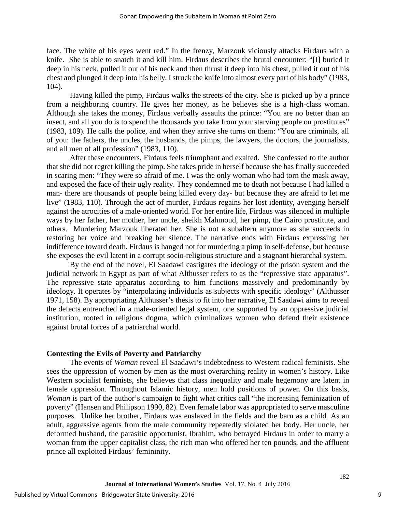face. The white of his eyes went red." In the frenzy, Marzouk viciously attacks Firdaus with a knife. She is able to snatch it and kill him. Firdaus describes the brutal encounter: "[I] buried it deep in his neck, pulled it out of his neck and then thrust it deep into his chest, pulled it out of his chest and plunged it deep into his belly. I struck the knife into almost every part of his body" (1983, 104).

Having killed the pimp, Firdaus walks the streets of the city. She is picked up by a prince from a neighboring country. He gives her money, as he believes she is a high-class woman. Although she takes the money, Firdaus verbally assaults the prince: "You are no better than an insect, and all you do is to spend the thousands you take from your starving people on prostitutes" (1983, 109). He calls the police, and when they arrive she turns on them: "You are criminals, all of you: the fathers, the uncles, the husbands, the pimps, the lawyers, the doctors, the journalists, and all men of all profession" (1983, 110).

After these encounters, Firdaus feels triumphant and exalted. She confessed to the author that she did not regret killing the pimp. She takes pride in herself because she has finally succeeded in scaring men: "They were so afraid of me. I was the only woman who had torn the mask away, and exposed the face of their ugly reality. They condemned me to death not because I had killed a man- there are thousands of people being killed every day- but because they are afraid to let me live" (1983, 110). Through the act of murder, Firdaus regains her lost identity, avenging herself against the atrocities of a male-oriented world. For her entire life, Firdaus was silenced in multiple ways by her father, her mother, her uncle, sheikh Mahmoud, her pimp, the Cairo prostitute, and others. Murdering Marzouk liberated her. She is not a subaltern anymore as she succeeds in restoring her voice and breaking her silence. The narrative ends with Firdaus expressing her indifference toward death. Firdaus is hanged not for murdering a pimp in self-defense, but because she exposes the evil latent in a corrupt socio-religious structure and a stagnant hierarchal system.

By the end of the novel, El Saadawi castigates the ideology of the prison system and the judicial network in Egypt as part of what Althusser refers to as the "repressive state apparatus". The repressive state apparatus according to him functions massively and predominantly by ideology. It operates by "interpolating individuals as subjects with specific ideology" (Althusser 1971, 158). By appropriating Althusser's thesis to fit into her narrative, El Saadawi aims to reveal the defects entrenched in a male-oriented legal system, one supported by an oppressive judicial institution, rooted in religious dogma, which criminalizes women who defend their existence against brutal forces of a patriarchal world.

#### **Contesting the Evils of Poverty and Patriarchy**

The events of *Woman* reveal El Saadawi's indebtedness to Western radical feminists. She sees the oppression of women by men as the most overarching reality in women's history. Like Western socialist feminists, she believes that class inequality and male hegemony are latent in female oppression. Throughout Islamic history, men hold positions of power. On this basis, *Woman* is part of the author's campaign to fight what critics call "the increasing feminization of poverty" (Hansen and Philipson 1990, 82). Even female labor was appropriated to serve masculine purposes. Unlike her brother, Firdaus was enslaved in the fields and the barn as a child. As an adult, aggressive agents from the male community repeatedly violated her body. Her uncle, her deformed husband, the parasitic opportunist, Ibrahim, who betrayed Firdaus in order to marry a woman from the upper capitalist class, the rich man who offered her ten pounds, and the affluent prince all exploited Firdaus' femininity.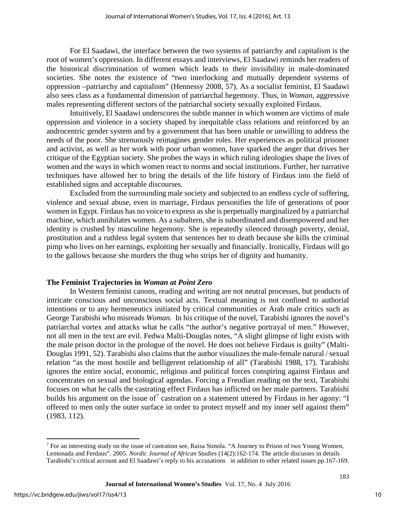For El Saadawi, the interface between the two systems of patriarchy and capitalism is the root of women's oppression. In different essays and interviews, El Saadawi reminds her readers of the historical discrimination of women which leads to their invisibility in male-dominated societies. She notes the existence of "two interlocking and mutually dependent systems of oppression –patriarchy and capitalism" (Hennessy 2008, 57). As a socialist feminist, El Saadawi also sees class as a fundamental dimension of patriarchal hegemony. Thus, in *Woman,* aggressive males representing different sectors of the patriarchal society sexually exploited Firdaus.

Intuitively, El Saadawi underscores the subtle manner in which women are victims of male oppression and violence in a society shaped by inequitable class relations and reinforced by an androcentric gender system and by a government that has been unable or unwilling to address the needs of the poor. She strenuously reimagines gender roles. Her experiences as political prisoner and activist, as well as her work with poor urban women, have sparked the anger that drives her critique of the Egyptian society. She probes the ways in which ruling ideologies shape the lives of women and the ways in which women react to norms and social institutions. Further, her narrative techniques have allowed her to bring the details of the life history of Firdaus into the field of established signs and acceptable discourses.

 Excluded from the surrounding male society and subjected to an endless cycle of suffering, violence and sexual abuse, even in marriage, Firdaus personifies the life of generations of poor women in Egypt. Firdaus has no voice to express as she is perpetually marginalized by a patriarchal machine, which annihilates women. As a subaltern, she is subordinated and disempowered and her identity is crushed by masculine hegemony. She is repeatedly silenced through poverty, denial, prostitution and a ruthless legal system that sentences her to death because she kills the criminal pimp who lives on her earnings, exploiting her sexually and financially. Ironically, Firdaus will go to the gallows because she murders the thug who strips her of dignity and humanity.

#### **The Feminist Trajectories in** *Woman at Point Zero*

In Western feminist canons, reading and writing are not neutral processes, but products of intricate conscious and unconscious social acts. Textual meaning is not confined to authorial intentions or to any hermeneutics initiated by critical communities or Arab male critics such as George Tarabishi who misreads *Woman.* In his critique of the novel, Tarabishi ignores the novel's patriarchal vortex and attacks what he calls "the author's negative portrayal of men." However, not all men in the text are evil. Fedwa Malti-Douglas notes, "A slight glimpse of light exists with the male prison doctor in the prologue of the novel. He does not believe Firdaus is guilty" (Malti-Douglas 1991, 52). Tarabishi also claims that the author visualizes the male-female natural / sexual relation "as the most hostile and belligerent relationship of all" (Tarabishi 1988, 17). Tarabishi ignores the entire social, economic, religious and political forces conspiring against Firdaus and concentrates on sexual and biological agendas. Forcing a Freudian reading on the text, Tarabishi focuses on what he calls the castrating effect Firdaus has inflicted on her male partners. Tarabishi builds his argument on the issue of<sup>[7](#page-10-0)</sup> castration on a statement uttered by Firdaus in her agony: "I offered to men only the outer surface in order to protect myself and my inner self against them" (1983, 112).

 $\overline{\phantom{a}}$ 

<span id="page-10-0"></span><sup>7</sup> For an interesting study on the issue of castration see, Raisa Simola. "A Journey to Prison of two Young Women, Lemonada and Ferdaus". 2005. *Nordic Journal of African Studies* (14(2):162-174. The article discusses in details Tarabishi's critical account and El Saadawi's reply to his accusations in addition to other related issues pp.167-169.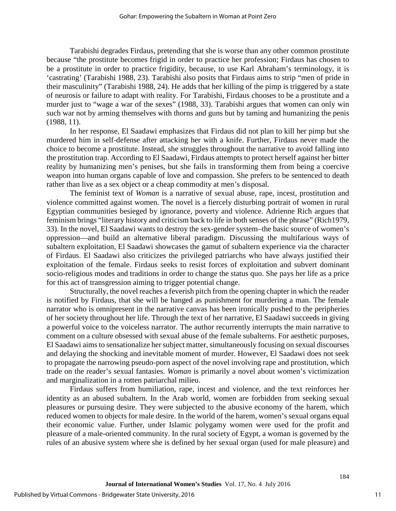Tarabishi degrades Firdaus, pretending that she is worse than any other common prostitute because "the prostitute becomes frigid in order to practice her profession; Firdaus has chosen to be a prostitute in order to practice frigidity, because, to use Karl Abraham's terminology, it is 'castrating' (Tarabishi 1988, 23). Tarabishi also posits that Firdaus aims to strip "men of pride in their masculinity" (Tarabishi 1988, 24). He adds that her killing of the pimp is triggered by a state of neurosis or failure to adapt with reality. For Tarabishi, Firdaus chooses to be a prostitute and a murder just to "wage a war of the sexes" (1988, 33). Tarabishi argues that women can only win such war not by arming themselves with thorns and guns but by taming and humanizing the penis (1988, 11).

In her response, El Saadawi emphasizes that Firdaus did not plan to kill her pimp but she murdered him in self-defense after attacking her with a knife. Further, Firdaus never made the choice to become a prostitute. Instead, she struggles throughout the narrative to avoid falling into the prostitution trap. According to El Saadawi, Firdaus attempts to protect herself against her bitter reality by humanizing men's penises, but she fails in transforming them from being a coercive weapon into human organs capable of love and compassion. She prefers to be sentenced to death rather than live as a sex object or a cheap commodity at men's disposal.

The feminist text of *Woman* is a narrative of sexual abuse, rape, incest, prostitution and violence committed against women. The novel is a fiercely disturbing portrait of women in rural Egyptian communities besieged by ignorance, poverty and violence. Adrienne Rich argues that feminism brings "literary history and criticism back to life in both senses of the phrase" (Rich1979, 33). In the novel, El Saadawi wants to destroy the sex-gender system–the basic source of women's oppression—and build an alternative liberal paradigm. Discussing the multifarious ways of subaltern exploitation, El Saadawi showcases the gamut of subaltern experience via the character of Firdaus. El Saadawi also criticizes the privileged patriarchs who have always justified their exploitation of the female. Firdaus seeks to resist forces of exploitation and subvert dominant socio-religious modes and traditions in order to change the status quo. She pays her life as a price for this act of transgression aiming to trigger potential change.

Structurally, the novel reaches a feverish pitch from the opening chapter in which the reader is notified by Firdaus, that she will be hanged as punishment for murdering a man. The female narrator who is omnipresent in the narrative canvas has been ironically pushed to the peripheries of her society throughout her life. Through the text of her narrative, El Saadawi succeeds in giving a powerful voice to the voiceless narrator. The author recurrently interrupts the main narrative to comment on a culture obsessed with sexual abuse of the female subalterns. For aesthetic purposes, El Saadawi aims to sensationalize her subject matter, simultaneously focusing on sexual discourses and delaying the shocking and inevitable moment of murder. However, El Saadawi does not seek to propagate the narrowing pseudo-porn aspect of the novel involving rape and prostitution, which trade on the reader's sexual fantasies. *Woman* is primarily a novel about women's victimization and marginalization in a rotten patriarchal milieu.

Firdaus suffers from humiliation, rape, incest and violence, and the text reinforces her identity as an abused subaltern. In the Arab world, women are forbidden from seeking sexual pleasures or pursuing desire. They were subjected to the abusive economy of the harem, which reduced women to objects for male desire. In the world of the harem, women's sexual organs equal their economic value. Further, under Islamic polygamy women were used for the profit and pleasure of a male-oriented community. In the rural society of Egypt, a woman is governed by the rules of an abusive system where she is defined by her sexual organ (used for male pleasure) and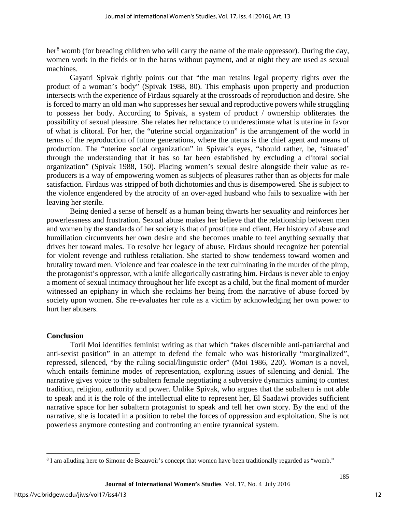her<sup>[8](#page-12-0)</sup> womb (for breading children who will carry the name of the male oppressor). During the day, women work in the fields or in the barns without payment, and at night they are used as sexual machines.

Gayatri Spivak rightly points out that "the man retains legal property rights over the product of a woman's body" (Spivak 1988, 80). This emphasis upon property and production intersects with the experience of Firdaus squarely at the crossroads of reproduction and desire. She is forced to marry an old man who suppresses her sexual and reproductive powers while struggling to possess her body. According to Spivak, a system of product / ownership obliterates the possibility of sexual pleasure. She relates her reluctance to underestimate what is uterine in favor of what is clitoral. For her, the "uterine social organization" is the arrangement of the world in terms of the reproduction of future generations, where the uterus is the chief agent and means of production. The "uterine social organization" in Spivak's eyes, "should rather, be, 'situated' through the understanding that it has so far been established by excluding a clitoral social organization" (Spivak 1988, 150). Placing women's sexual desire alongside their value as reproducers is a way of empowering women as subjects of pleasures rather than as objects for male satisfaction. Firdaus was stripped of both dichotomies and thus is disempowered. She is subject to the violence engendered by the atrocity of an over-aged husband who fails to sexualize with her leaving her sterile.

Being denied a sense of herself as a human being thwarts her sexuality and reinforces her powerlessness and frustration. Sexual abuse makes her believe that the relationship between men and women by the standards of her society is that of prostitute and client. Her history of abuse and humiliation circumvents her own desire and she becomes unable to feel anything sexually that drives her toward males. To resolve her legacy of abuse, Firdaus should recognize her potential for violent revenge and ruthless retaliation. She started to show tenderness toward women and brutality toward men. Violence and fear coalesce in the text culminating in the murder of the pimp, the protagonist's oppressor, with a knife allegorically castrating him. Firdaus is never able to enjoy a moment of sexual intimacy throughout her life except as a child, but the final moment of murder witnessed an epiphany in which she reclaims her being from the narrative of abuse forced by society upon women. She re-evaluates her role as a victim by acknowledging her own power to hurt her abusers.

#### **Conclusion**

Toril Moi identifies feminist writing as that which "takes discernible anti-patriarchal and anti-sexist position" in an attempt to defend the female who was historically "marginalized", repressed, silenced, "by the ruling social/linguistic order" (Moi 1986, 220). *Woman* is a novel, which entails feminine modes of representation, exploring issues of silencing and denial. The narrative gives voice to the subaltern female negotiating a subversive dynamics aiming to contest tradition, religion, authority and power. Unlike Spivak, who argues that the subaltern is not able to speak and it is the role of the intellectual elite to represent her, El Saadawi provides sufficient narrative space for her subaltern protagonist to speak and tell her own story. By the end of the narrative, she is located in a position to rebel the forces of oppression and exploitation. She is not powerless anymore contesting and confronting an entire tyrannical system.

l

<span id="page-12-0"></span><sup>&</sup>lt;sup>8</sup> I am alluding here to Simone de Beauvoir's concept that women have been traditionally regarded as "womb."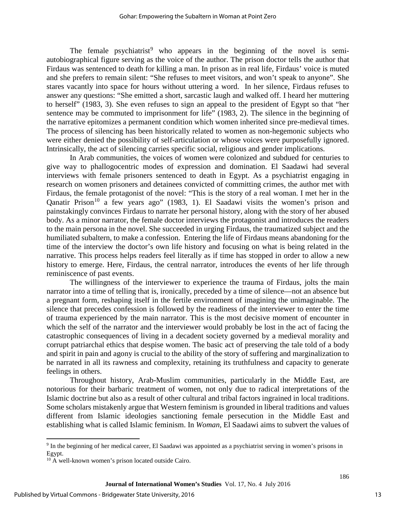The female psychiatrist<sup>[9](#page-13-0)</sup> who appears in the beginning of the novel is semiautobiographical figure serving as the voice of the author. The prison doctor tells the author that Firdaus was sentenced to death for killing a man. In prison as in real life, Firdaus' voice is muted and she prefers to remain silent: "She refuses to meet visitors, and won't speak to anyone". She stares vacantly into space for hours without uttering a word. In her silence, Firdaus refuses to answer any questions: "She emitted a short, sarcastic laugh and walked off. I heard her muttering to herself" (1983, 3). She even refuses to sign an appeal to the president of Egypt so that "her sentence may be commuted to imprisonment for life" (1983, 2). The silence in the beginning of the narrative epitomizes a permanent condition which women inherited since pre-medieval times. The process of silencing has been historically related to women as non-hegemonic subjects who were either denied the possibility of self-articulation or whose voices were purposefully ignored. Intrinsically, the act of silencing carries specific social, religious and gender implications.

In Arab communities, the voices of women were colonized and subdued for centuries to give way to phallogocentric modes of expression and domination. El Saadawi had several interviews with female prisoners sentenced to death in Egypt. As a psychiatrist engaging in research on women prisoners and detainees convicted of committing crimes, the author met with Firdaus, the female protagonist of the novel: "This is the story of a real woman. I met her in the Qanatir Prison<sup>[10](#page-13-1)</sup> a few years ago" (1983, 1). El Saadawi visits the women's prison and painstakingly convinces Firdaus to narrate her personal history, along with the story of her abused body. As a minor narrator, the female doctor interviews the protagonist and introduces the readers to the main persona in the novel. She succeeded in urging Firdaus, the traumatized subject and the humiliated subaltern, to make a confession. Entering the life of Firdaus means abandoning for the time of the interview the doctor's own life history and focusing on what is being related in the narrative. This process helps readers feel literally as if time has stopped in order to allow a new history to emerge. Here, Firdaus, the central narrator, introduces the events of her life through reminiscence of past events.

The willingness of the interviewer to experience the trauma of Firdaus, jolts the main narrator into a time of telling that is, ironically, preceded by a time of silence—not an absence but a pregnant form, reshaping itself in the fertile environment of imagining the unimaginable. The silence that precedes confession is followed by the readiness of the interviewer to enter the time of trauma experienced by the main narrator. This is the most decisive moment of encounter in which the self of the narrator and the interviewer would probably be lost in the act of facing the catastrophic consequences of living in a decadent society governed by a medieval morality and corrupt patriarchal ethics that despise women. The basic act of preserving the tale told of a body and spirit in pain and agony is crucial to the ability of the story of suffering and marginalization to be narrated in all its rawness and complexity, retaining its truthfulness and capacity to generate feelings in others.

 Throughout history, Arab-Muslim communities, particularly in the Middle East, are notorious for their barbaric treatment of women, not only due to radical interpretations of the Islamic doctrine but also as a result of other cultural and tribal factors ingrained in local traditions. Some scholars mistakenly argue that Western feminism is grounded in liberal traditions and values different from Islamic ideologies sanctioning female persecution in the Middle East and establishing what is called Islamic feminism. In *Woman,* El Saadawi aims to subvert the values of

 $\overline{\phantom{a}}$ 

<span id="page-13-0"></span><sup>9</sup> In the beginning of her medical career, El Saadawi was appointed as a psychiatrist serving in women's prisons in Egypt.

<span id="page-13-1"></span><sup>&</sup>lt;sup>10</sup> A well-known women's prison located outside Cairo.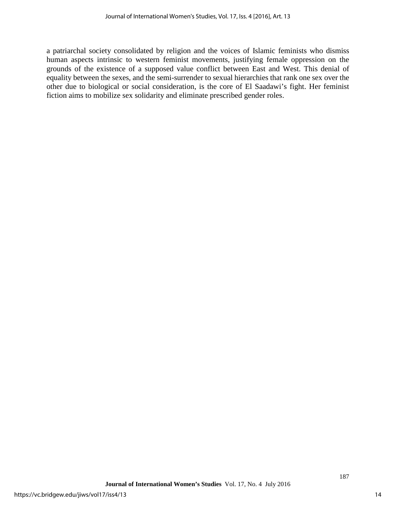a patriarchal society consolidated by religion and the voices of Islamic feminists who dismiss human aspects intrinsic to western feminist movements, justifying female oppression on the grounds of the existence of a supposed value conflict between East and West. This denial of equality between the sexes, and the semi-surrender to sexual hierarchies that rank one sex over the other due to biological or social consideration, is the core of El Saadawi's fight. Her feminist fiction aims to mobilize sex solidarity and eliminate prescribed gender roles.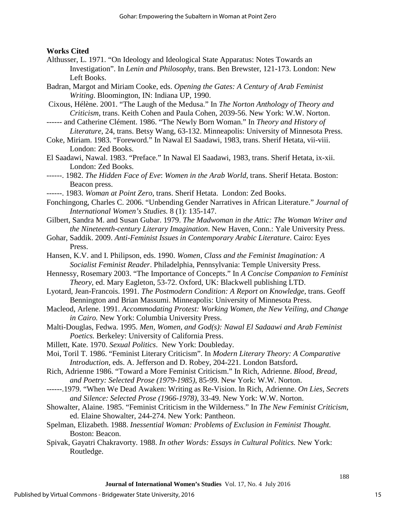### **Works Cited**

- Althusser, L. 1971. "On Ideology and Ideological State Apparatus: Notes Towards an Investigation". In *Lenin and Philosophy*, trans. Ben Brewster, 121-173. London: New Left Books.
- Badran, Margot and Miriam Cooke, eds. *Opening the Gates: A Century of Arab Feminist Writing*. Bloomington, IN: Indiana UP, 1990.
- [Cixous,](http://en.wikipedia.org/wiki/H%C3%A9l%C3%A8ne_Cixous) Hélène. 2001. "The Laugh of the Medusa." In *The Norton Anthology of Theory and Criticism*, trans. Keith Cohen and Paula Cohen, 2039-56. New York: W.W. Norton.
- ------ and Catherine Clément. 1986. "The Newly Born Woman." In *Theory and History of Literature*, 24, trans. Betsy Wang, 63-132. Minneapolis: University of Minnesota Press.
- Coke, Miriam. 1983. "Foreword." In Nawal El Saadawi, 1983, trans. Sherif Hetata, vii-viii. London: Zed Books.
- El Saadawi, Nawal. 1983. "Preface." In Nawal El Saadawi, 1983, trans. Sherif Hetata, ix-xii. London: Zed Books.
- ------. 1982. *The Hidden Face of Eve*: *Women in the Arab World*, trans. Sherif Hetata. Boston: Beacon press.
- ------. 1983. *Woman at Point Zero*, trans. Sherif Hetata. London: Zed Books.
- Fonchingong, Charles C. 2006. "Unbending Gender Narratives in African Literature." *Journal of International Women's Studies.* 8 (1): 135-147.
- Gilbert, Sandra M. and Susan Gubar. 1979. *The Madwoman in the Attic: The Woman Writer and the Nineteenth-century Literary Imagination*. New Haven, Conn.: Yale University Press.
- Gohar, Saddik. 2009. *Anti-Feminist Issues in Contemporary Arabic Literature*. Cairo: Eyes Press.
- Hansen, K.V. and I. Philipson, eds. 1990. *Women, Class and the Feminist Imagination: A Socialist Feminist Reader*. Philadelphia, Pennsylvania: Temple University Press.
- Hennessy, Rosemary 2003. "The Importance of Concepts." In *A Concise Companion to Feminist Theory*, ed. Mary Eagleton, 53-72. Oxford, UK: Blackwell publishing LTD.
- Lyotard, Jean-Francois. 1991. *The Postmodern Condition: A Report on Knowledge*, trans. Geoff Bennington and Brian Massumi. Minneapolis: University of Minnesota Press.
- Macleod, Arlene. 1991. *Accommodating Protest: Working Women, the New Veiling, and Change in Cairo.* New York: Columbia University Press.
- Malti-Douglas, Fedwa. 1995. *Men, Women, and God(s): Nawal El Sadaawi and Arab Feminist Poetics.* Berkeley: University of California Press.
- Millett, Kate. 1970. *Sexual Politics*. New York: Doubleday.
- Moi, Toril T. 1986. "Feminist Literary Criticism". In *Modern Literary Theory: A Comparative Introduction*, eds. A. Jefferson and D. Robey, 204-221. London Batsford**.**
- Rich, Adrienne 1986. "Toward a More Feminist Criticism." In Rich, Adrienne. *Blood, Bread, and Poetry: Selected Prose (1979-1985)*, 85-99. New York: W.W. Norton.
- ------.1979. "When We Dead Awaken: Writing as Re-Vision. In Rich, Adrienne. *On Lies, Secrets and Silence: Selected Prose (1966-1978)*, 33-49. New York: W.W. Norton.
- Showalter, Alaine. 1985. "Feminist Criticism in the Wilderness." In *The New Feminist Criticism,* ed. Elaine Showalter, 244-274. New York: Pantheon.
- Spelman, Elizabeth. 1988. *Inessential Woman: Problems of Exclusion in Feminist Thought.* Boston: Beacon.
- Spivak, Gayatri Chakravorty. 1988. *In other Words: Essays in Cultural Politics.* New York: Routledge.